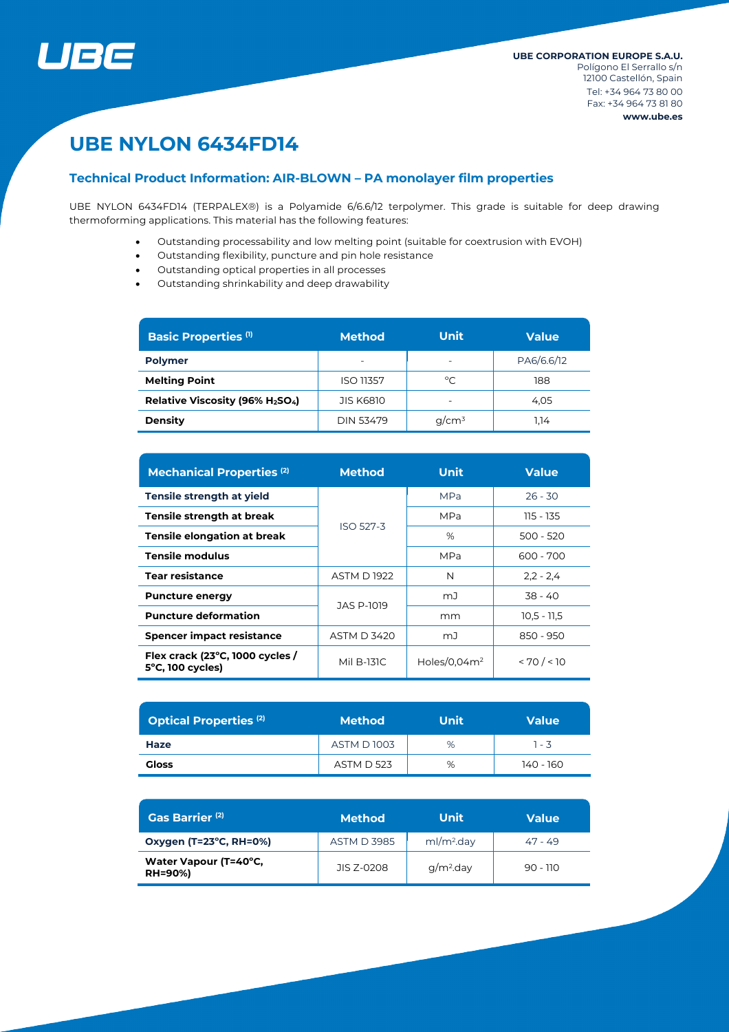

# **UBE NYLON 6434FD14**

# **Technical Product Information: AIR-BLOWN – PA monolayer film properties**

UBE NYLON 6434FD14 (TERPALEX®) is a Polyamide 6/6.6/12 terpolymer. This grade is suitable for deep drawing thermoforming applications. This material has the following features:

- Outstanding processability and low melting point (suitable for coextrusion with EVOH)
- Outstanding flexibility, puncture and pin hole resistance
- Outstanding optical properties in all processes
- Outstanding shrinkability and deep drawability

| <b>Basic Properties (1)</b>                              | <b>Method</b>            | <b>Unit</b>              | <b>Value</b> |  |
|----------------------------------------------------------|--------------------------|--------------------------|--------------|--|
| <b>Polymer</b>                                           | $\overline{\phantom{0}}$ | $\overline{\phantom{0}}$ | PA6/6.6/12   |  |
| <b>Melting Point</b>                                     | <b>ISO 11357</b>         | °C                       | 188          |  |
| Relative Viscosity (96% H <sub>2</sub> SO <sub>4</sub> ) | <b>JIS K6810</b>         |                          | 4.05         |  |
| <b>Density</b>                                           | <b>DIN 53479</b>         | $q/cm^3$                 | 1.14         |  |

| <b>Mechanical Properties (2)</b>                              | <b>Method</b>      | <b>Unit</b>     | <b>Value</b>  |  |
|---------------------------------------------------------------|--------------------|-----------------|---------------|--|
| Tensile strength at yield                                     |                    | <b>MPa</b>      | $26 - 30$     |  |
| Tensile strength at break                                     | <b>ISO 527-3</b>   | MPa             | 115 - 135     |  |
| <b>Tensile elongation at break</b>                            |                    | %               | $500 - 520$   |  |
| <b>Tensile modulus</b>                                        |                    | MPa             | 600 - 700     |  |
| <b>Tear resistance</b>                                        | <b>ASTM D 1922</b> | N               | $2,2 - 2,4$   |  |
| <b>Puncture energy</b>                                        | JAS P-1019         | mJ              | $38 - 40$     |  |
| <b>Puncture deformation</b>                                   |                    | mm              | $10.5 - 11.5$ |  |
| <b>Spencer impact resistance</b>                              | <b>ASTM D 3420</b> | mJ              | 850 - 950     |  |
| Flex crack (23°C, 1000 cycles /<br>$5^{\circ}$ C, 100 cycles) | Mil B-131C         | Holes/0.04 $m2$ | < 70 / < 10   |  |

| <b>Optical Properties (2)</b> | <b>Method</b>     | Unit | <b>Value</b> |  |
|-------------------------------|-------------------|------|--------------|--|
| Haze                          | <b>ASTM D1003</b> | %    | 1 - 3        |  |
| Gloss                         | <b>ASTM D 523</b> | %    | 140 - 160    |  |

| Gas Barrier <sup>(2)</sup>              | <b>Method</b>      | Unit                   | <b>Value</b> |  |
|-----------------------------------------|--------------------|------------------------|--------------|--|
| Oxygen (T=23°C, RH=0%)                  | <b>ASTM D 3985</b> | ml/m <sup>2</sup> .day | 47 - 49      |  |
| Water Vapour (T=40°C,<br><b>RH=90%)</b> | JIS Z-0208         | $q/m2$ .day            | $90 - 110$   |  |